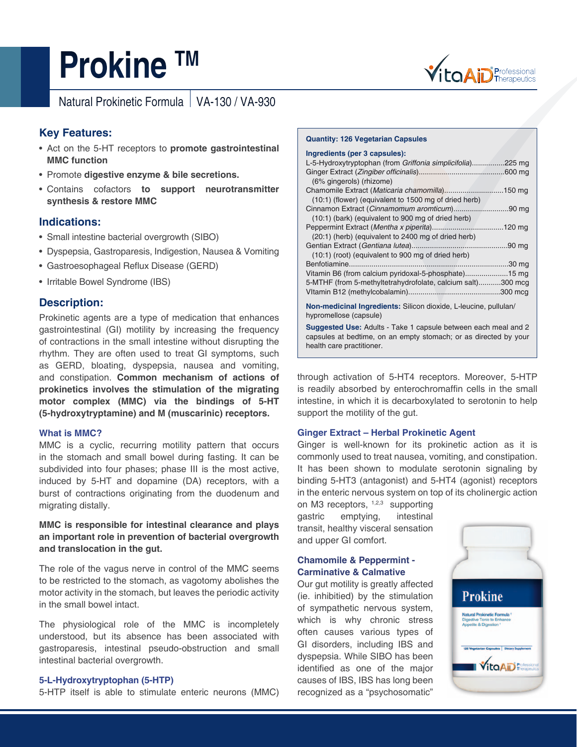# **Prokine TM**



Natural Prokinetic Formula | VA-130 / VA-930

# **Key Features:**

- Act on the 5-HT receptors to **promote gastrointestinal MMC function**
- Promote **digestive enzyme & bile secretions.**
- Contains cofactors **to support neurotransmitter synthesis & restore MMC**

# **Indications:**

- Small intestine bacterial overgrowth (SIBO)
- Dyspepsia, Gastroparesis, Indigestion, Nausea & Vomiting
- Gastroesophageal Reflux Disease (GERD)
- Irritable Bowel Syndrome (IBS)

# **Description:**

Prokinetic agents are a type of medication that enhances gastrointestinal (GI) motility by increasing the frequency of contractions in the small intestine without disrupting the rhythm. They are often used to treat GI symptoms, such as GERD, bloating, dyspepsia, nausea and vomiting, and constipation. **Common mechanism of actions of prokinetics involves the stimulation of the migrating motor complex (MMC) via the bindings of 5-HT (5-hydroxytryptamine) and M (muscarinic) receptors.** 

## **What is MMC?**

MMC is a cyclic, recurring motility pattern that occurs in the stomach and small bowel during fasting. It can be subdivided into four phases; phase III is the most active, induced by 5-HT and dopamine (DA) receptors, with a burst of contractions originating from the duodenum and migrating distally.

## **MMC is responsible for intestinal clearance and plays an important role in prevention of bacterial overgrowth and translocation in the gut.**

The role of the vagus nerve in control of the MMC seems to be restricted to the stomach, as vagotomy abolishes the motor activity in the stomach, but leaves the periodic activity in the small bowel intact.

The physiological role of the MMC is incompletely understood, but its absence has been associated with gastroparesis, intestinal pseudo-obstruction and small intestinal bacterial overgrowth.

## **5-L-Hydroxytryptophan (5-HTP)**

5-HTP itself is able to stimulate enteric neurons (MMC)

#### **Quantity: 126 Vegetarian Capsules**

#### **Ingredients (per 3 capsules):**

| L-5-Hydroxytryptophan (from Griffonia simplicifolia)225 mg                                              |
|---------------------------------------------------------------------------------------------------------|
| (6% gingerols) (rhizome)                                                                                |
| Chamomile Extract (Maticaria chamomilla)150 mg                                                          |
| (10:1) (flower) (equivalent to 1500 mg of dried herb)                                                   |
| Cinnamon Extract (Cinnamomum aromticum)90 mg                                                            |
| (10:1) (bark) (equivalent to 900 mg of dried herb)                                                      |
|                                                                                                         |
| (20:1) (herb) (equivalent to 2400 mg of dried herb)                                                     |
|                                                                                                         |
| (10:1) (root) (equivalent to 900 mg of dried herb)                                                      |
|                                                                                                         |
| Vitamin B6 (from calcium pyridoxal-5-phosphate)15 mg                                                    |
| 5-MTHF (from 5-methyltetrahydrofolate, calcium salt)300 mcg                                             |
|                                                                                                         |
| Moreover, although the condition and $\bigcirc$ the condition but at the condition of the field $I$ and |

**Non-medicinal Ingredients:** Silicon dioxide, L-leucine, pullulan/ hypromellose (capsule)

**Suggested Use:** Adults - Take 1 capsule between each meal and 2 capsules at bedtime, on an empty stomach; or as directed by your health care practitioner.

through activation of 5-HT4 receptors. Moreover, 5-HTP is readily absorbed by enterochromaffin cells in the small intestine, in which it is decarboxylated to serotonin to help support the motility of the gut.

## **Ginger Extract – Herbal Prokinetic Agent**

Ginger is well-known for its prokinetic action as it is commonly used to treat nausea, vomiting, and constipation. It has been shown to modulate serotonin signaling by binding 5-HT3 (antagonist) and 5-HT4 (agonist) receptors in the enteric nervous system on top of its cholinergic action

on M3 receptors, 1,2,3 supporting gastric emptying, intestinal transit, healthy visceral sensation and upper GI comfort.

# **Chamomile & Peppermint - Carminative & Calmative**

Our gut motility is greatly affected (ie. inhibitied) by the stimulation of sympathetic nervous system, which is why chronic stress often causes various types of GI disorders, including IBS and dyspepsia. While SIBO has been identified as one of the major causes of IBS, IBS has long been recognized as a "psychosomatic"